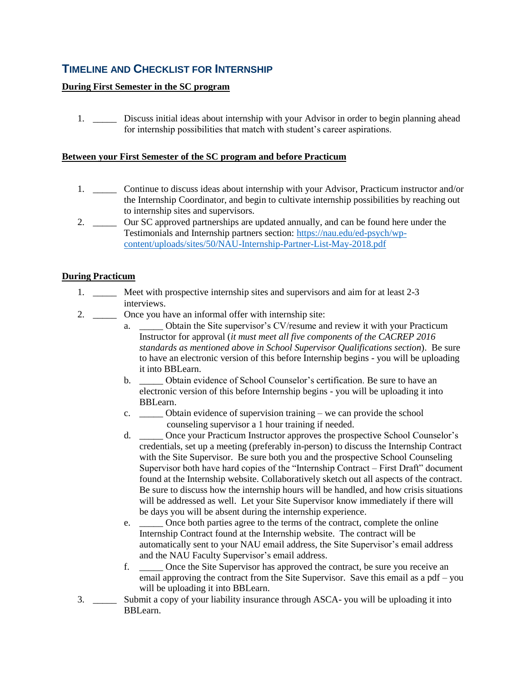# **TIMELINE AND CHECKLIST FOR INTERNSHIP**

## **During First Semester in the SC program**

1. \_\_\_\_\_ Discuss initial ideas about internship with your Advisor in order to begin planning ahead for internship possibilities that match with student's career aspirations.

## **Between your First Semester of the SC program and before Practicum**

- 1. \_\_\_\_\_ Continue to discuss ideas about internship with your Advisor, Practicum instructor and/or the Internship Coordinator, and begin to cultivate internship possibilities by reaching out to internship sites and supervisors.
- 2. \_\_\_\_\_ Our SC approved partnerships are updated annually, and can be found here under the Testimonials and Internship partners section: [https://nau.edu/ed-psych/wp](https://nau.edu/ed-psych/wp-content/uploads/sites/50/NAU-Internship-Partner-List-May-2018.pdf)[content/uploads/sites/50/NAU-Internship-Partner-List-May-2018.pdf](https://nau.edu/ed-psych/wp-content/uploads/sites/50/NAU-Internship-Partner-List-May-2018.pdf)

## **During Practicum**

- 1. \_\_\_\_\_ Meet with prospective internship sites and supervisors and aim for at least 2-3 interviews.
- 2. \_\_\_\_\_\_\_ Once you have an informal offer with internship site:
	- a. **EXECUTE:** Obtain the Site supervisor's CV/resume and review it with your Practicum Instructor for approval (*it must meet all five components of the CACREP 2016 standards as mentioned above in School Supervisor Qualifications section*). Be sure to have an electronic version of this before Internship begins - you will be uploading it into BBLearn.
	- b. \_\_\_\_\_ Obtain evidence of School Counselor's certification. Be sure to have an electronic version of this before Internship begins - you will be uploading it into BBLearn.
	- c. \_\_\_\_\_ Obtain evidence of supervision training we can provide the school counseling supervisor a 1 hour training if needed.
	- d. \_\_\_\_\_ Once your Practicum Instructor approves the prospective School Counselor's credentials, set up a meeting (preferably in-person) to discuss the Internship Contract with the Site Supervisor. Be sure both you and the prospective School Counseling Supervisor both have hard copies of the "Internship Contract – First Draft" document found at the Internship website. Collaboratively sketch out all aspects of the contract. Be sure to discuss how the internship hours will be handled, and how crisis situations will be addressed as well. Let your Site Supervisor know immediately if there will be days you will be absent during the internship experience.
	- e. Once both parties agree to the terms of the contract, complete the online Internship Contract found at the Internship website. The contract will be automatically sent to your NAU email address, the Site Supervisor's email address and the NAU Faculty Supervisor's email address.
	- f. \_\_\_\_\_ Once the Site Supervisor has approved the contract, be sure you receive an email approving the contract from the Site Supervisor. Save this email as a pdf – you will be uploading it into BBLearn.
- 3. \_\_\_\_\_ Submit a copy of your liability insurance through ASCA- you will be uploading it into BBLearn.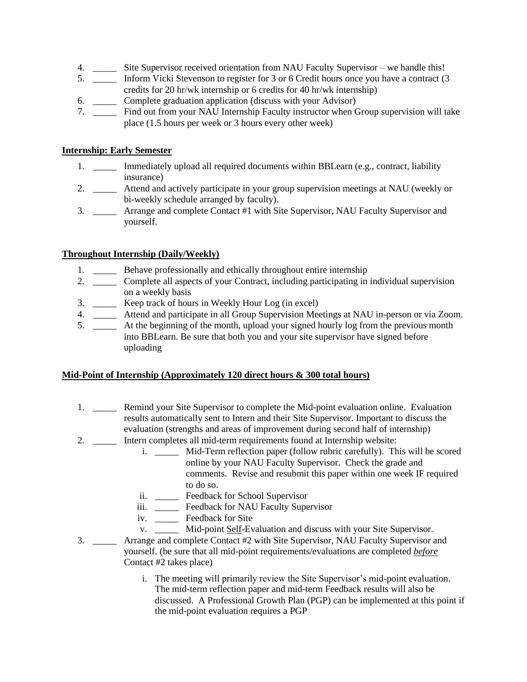- 4. \_\_\_\_\_ Site Supervisor received orientation from NAU Faculty Supervisor we handle this!
- 5. \_\_\_\_\_ Inform Vicki Stevenson to register for 3 or 6 Credit hours once you have a contract (3 credits for 20 hr/wk internship or 6 credits for 40 hr/wk internship)
- 6. \_\_\_\_\_ Complete graduation application (discuss with your Advisor)
- 7. \_\_\_\_\_ Find out from your NAU Internship Faculty instructor when Group supervision will take place (1.5 hours per week or 3 hours every other week)

## **Internship: Early Semester**

- 1. \_\_\_\_\_ Immediately upload all required documents within BBLearn (e.g., contract, liability insurance)
- 2. \_\_\_\_\_ Attend and actively participate in your group supervision meetings at NAU (weekly or bi-weekly schedule arranged by faculty).
- 3. \_\_\_\_\_ Arrange and complete Contact #1 with Site Supervisor, NAU Faculty Supervisor and yourself.

# **Throughout Internship (Daily/Weekly)**

- 1. \_\_\_\_\_ Behave professionally and ethically throughout entire internship
- 2. \_\_\_\_\_ Complete all aspects of your Contract, including participating in individual supervision on a weekly basis
- 3. \_\_\_\_\_ Keep track of hours in Weekly Hour Log (in excel)
- 4. \_\_\_\_\_ Attend and participate in all Group Supervision Meetings at NAU in-person or via Zoom.
- 5. \_\_\_\_\_ At the beginning of the month, upload your signed hourly log from the previous month into BBLearn. Be sure that both you and your site supervisor have signed before uploading

## **Mid-Point of Internship (Approximately 120 direct hours & 300 total hours)**

- 1. \_\_\_\_\_ Remind your Site Supervisor to complete the Mid-point evaluation online. Evaluation results automatically sent to Intern and their Site Supervisor. Important to discuss the evaluation (strengths and areas of improvement during second half of internship)
- 2. \_\_\_\_\_ Intern completes all mid-term requirements found at Internship website:
	- i. \_\_\_\_\_ Mid-Term reflection paper (follow rubric carefully). This will be scored online by your NAU Faculty Supervisor. Check the grade and comments. Revise and resubmit this paper within one week IF required to do so.
	- ii. \_\_\_\_\_ Feedback for School Supervisor
	- iii. \_\_\_\_\_ Feedback for NAU Faculty Supervisor
	- iv. \_\_\_\_\_ Feedback for Site
	- v. \_\_\_\_\_ Mid-point Self-Evaluation and discuss with your Site Supervisor.
- 3. \_\_\_\_\_ Arrange and complete Contact #2 with Site Supervisor, NAU Faculty Supervisor and yourself. (be sure that all mid-point requirements/evaluations are completed *before* Contact #2 takes place)
	- i. The meeting will primarily review the Site Supervisor's mid-point evaluation. The mid-term reflection paper and mid-term Feedback results will also be discussed. A Professional Growth Plan (PGP) can be implemented at this point if the mid-point evaluation requires a PGP